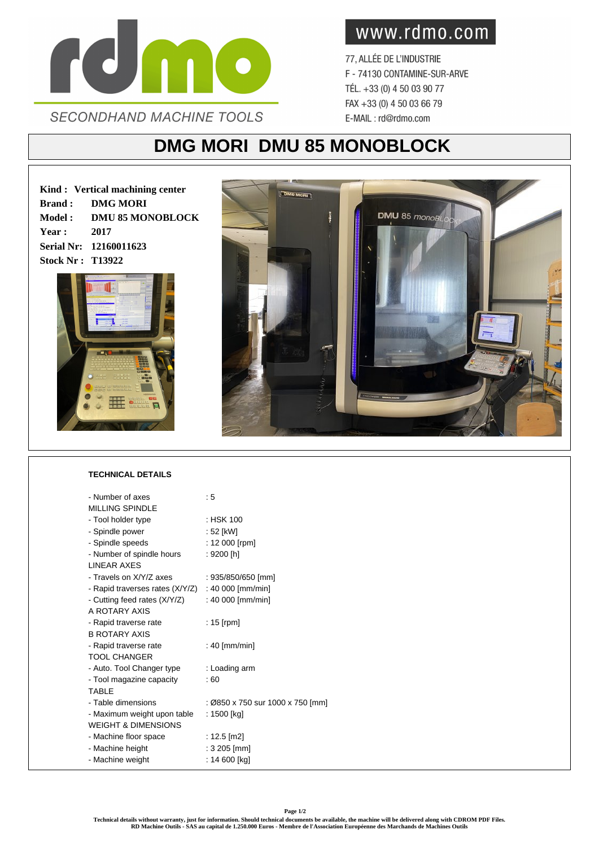

www.rdmo.com

77, ALLÉE DE L'INDUSTRIE F - 74130 CONTAMINE-SUR-ARVE TÉL. +33 (0) 4 50 03 90 77 FAX +33 (0) 4 50 03 66 79 E-MAIL: rd@rdmo.com

## **DMG MORI DMU 85 MONOBLOCK**

**Kind : Vertical machining center Brand : DMG MORI Model : DMU 85 MONOBLOCK Year : 2017 Serial Nr: 12160011623 Stock Nr : T13922**





## **TECHNICAL DETAILS**

| - Number of axes                | : 5                              |
|---------------------------------|----------------------------------|
| <b>MILLING SPINDLE</b>          |                                  |
| - Tool holder type              | : HSK 100                        |
| - Spindle power                 | : 52 [kW]                        |
| - Spindle speeds                | : 12 000 [rpm]                   |
| - Number of spindle hours       | : 9200 [h]                       |
| <b>I INFAR AXES</b>             |                                  |
| - Travels on X/Y/Z axes         | : 935/850/650 [mm]               |
| - Rapid traverses rates (X/Y/Z) | : 40 000 [mm/min]                |
| - Cutting feed rates (X/Y/Z)    | : 40 000 [mm/min]                |
| A ROTARY AXIS                   |                                  |
| - Rapid traverse rate           | : 15 [rpm]                       |
| <b>B ROTARY AXIS</b>            |                                  |
| - Rapid traverse rate           | : 40 [mm/min]                    |
| <b>TOOL CHANGER</b>             |                                  |
| - Auto. Tool Changer type       | : Loading arm                    |
| - Tool magazine capacity        | : 60                             |
| <b>TABLE</b>                    |                                  |
| - Table dimensions              | : Ø850 x 750 sur 1000 x 750 [mm] |
| - Maximum weight upon table     | : 1500 [kg]                      |
| <b>WEIGHT &amp; DIMENSIONS</b>  |                                  |
| - Machine floor space           | : 12.5 [m2]                      |
| - Machine height                | : 3 205 [mm]                     |
| - Machine weight                | : 14 600 [kg]                    |
|                                 |                                  |

**Page 1/2**